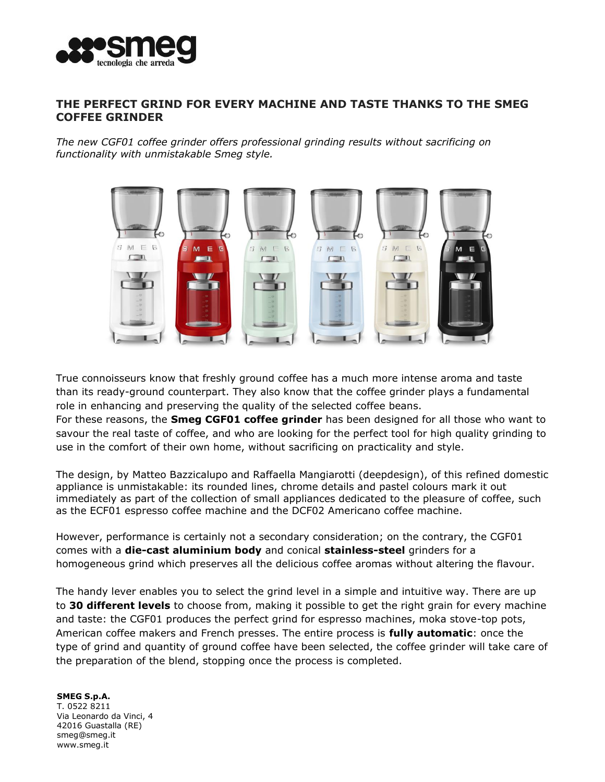

## **THE PERFECT GRIND FOR EVERY MACHINE AND TASTE THANKS TO THE SMEG COFFEE GRINDER**

*The new CGF01 coffee grinder offers professional grinding results without sacrificing on functionality with unmistakable Smeg style.*



True connoisseurs know that freshly ground coffee has a much more intense aroma and taste than its ready-ground counterpart. They also know that the coffee grinder plays a fundamental role in enhancing and preserving the quality of the selected coffee beans.

For these reasons, the **Smeg CGF01 coffee grinder** has been designed for all those who want to savour the real taste of coffee, and who are looking for the perfect tool for high quality grinding to use in the comfort of their own home, without sacrificing on practicality and style.

The design, by Matteo Bazzicalupo and Raffaella Mangiarotti (deepdesign), of this refined domestic appliance is unmistakable: its rounded lines, chrome details and pastel colours mark it out immediately as part of the collection of small appliances dedicated to the pleasure of coffee, such as the ECF01 espresso coffee machine and the DCF02 Americano coffee machine.

However, performance is certainly not a secondary consideration; on the contrary, the CGF01 comes with a **die-cast aluminium body** and conical **stainless-steel** grinders for a homogeneous grind which preserves all the delicious coffee aromas without altering the flavour.

The handy lever enables you to select the grind level in a simple and intuitive way. There are up to **30 different levels** to choose from, making it possible to get the right grain for every machine and taste: the CGF01 produces the perfect grind for espresso machines, moka stove-top pots, American coffee makers and French presses. The entire process is **fully automatic**: once the type of grind and quantity of ground coffee have been selected, the coffee grinder will take care of the preparation of the blend, stopping once the process is completed.

**SMEG S.p.A.** T. 0522 8211 Via Leonardo da Vinci, 4 42016 Guastalla (RE[\)](mailto:smeg@smeg.it) [smeg@smeg.it](mailto:smeg@smeg.it) [www.smeg.it](http://www.smeg.it/)